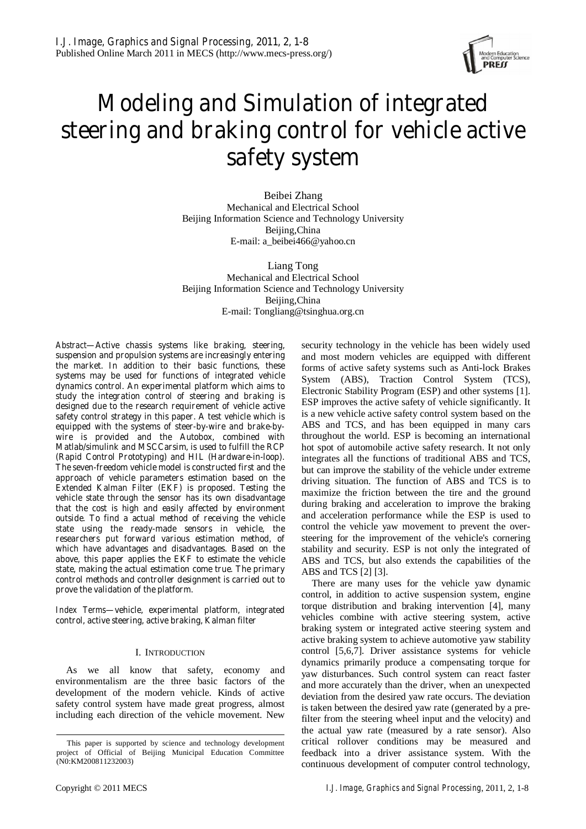

# **Modeling and Simulation of integrated steering and braking control for vehicle active safety system**

Beibei Zhang Mechanical and Electrical School Beijing Information Science and Technology University Beijing,China E-mail: a\_beibei466@yahoo.cn

Liang Tong Mechanical and Electrical School Beijing Information Science and Technology University Beijing,China E-mail: Tongliang@tsinghua.org.cn

*Abstract***—Active chassis systems like braking, steering, suspension and propulsion systems are increasingly entering the market. In addition to their basic functions, these systems may be used for functions of integrated vehicle dynamics control. An experimental platform which aims to study the integration control of steering and braking is designed due to the research requirement of vehicle active safety control strategy in this paper. A test vehicle which is equipped with the systems of steer-by-wire and brake-bywire is provided and the Autobox, combined with Matlab/simulink and MSCCarsim, is used to fulfill the RCP (Rapid Control Prototyping) and HIL (Hardware-in-loop). The seven-freedom vehicle model is constructed first and the approach of vehicle parameters estimation based on the Extended Kalman Filter (EKF) is proposed. Testing the vehicle state through the sensor has its own disadvantage that the cost is high and easily affected by environment outside. To find a actual method of receiving the vehicle state using the ready-made sensors in vehicle, the researchers put forward various estimation method, of which have advantages and disadvantages. Based on the above, this paper applies the EKF to estimate the vehicle state, making the actual estimation come true. The primary control methods and controller designment is carried out to prove the validation of the platform.** 

*Index Terms***—vehicle, experimental platform, integrated control, active steering, active braking, Kalman filter** 

## I. INTRODUCTION

As we all know that safety, economy and environmentalism are the three basic factors of the development of the modern vehicle. Kinds of active safety control system have made great progress, almost including each direction of the vehicle movement. New

forms of active safety systems such as Anti-lock Brakes System (ABS), Traction Control System (TCS), Electronic Stability Program (ESP) and other systems [1]. ESP improves the active safety of vehicle significantly. It is a new vehicle active safety control system based on the ABS and TCS, and has been equipped in many cars throughout the world. ESP is becoming an international hot spot of automobile active safety research. It not only integrates all the functions of traditional ABS and TCS, but can improve the stability of the vehicle under extreme driving situation. The function of ABS and TCS is to maximize the friction between the tire and the ground during braking and acceleration to improve the braking and acceleration performance while the ESP is used to control the vehicle yaw movement to prevent the oversteering for the improvement of the vehicle's cornering stability and security. ESP is not only the integrated of ABS and TCS, but also extends the capabilities of the ABS and TCS [2] [3]. There are many uses for the vehicle yaw dynamic

security technology in the vehicle has been widely used and most modern vehicles are equipped with different

control, in addition to active suspension system, engine torque distribution and braking intervention [4], many vehicles combine with active steering system, active braking system or integrated active steering system and active braking system to achieve automotive yaw stability control [5,6,7]. Driver assistance systems for vehicle dynamics primarily produce a compensating torque for yaw disturbances. Such control system can react faster and more accurately than the driver, when an unexpected deviation from the desired yaw rate occurs. The deviation is taken between the desired yaw rate (generated by a prefilter from the steering wheel input and the velocity) and the actual yaw rate (measured by a rate sensor). Also critical rollover conditions may be measured and feedback into a driver assistance system. With the continuous development of computer control technology,

This paper is supported by science and technology development project of Official of Beijing Municipal Education Committee (N0:KM200811232003)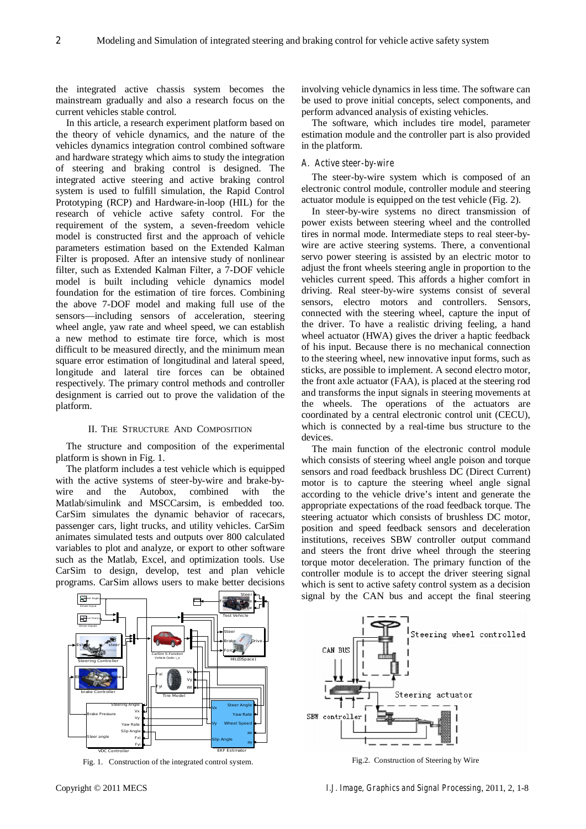the integrated active chassis system becomes the mainstream gradually and also a research focus on the current vehicles stable control.

In this article, a research experiment platform based on the theory of vehicle dynamics, and the nature of the vehicles dynamics integration control combined software and hardware strategy which aims to study the integration of steering and braking control is designed. The integrated active steering and active braking control system is used to fulfill simulation, the Rapid Control Prototyping (RCP) and Hardware-in-loop (HIL) for the research of vehicle active safety control. For the requirement of the system, a seven-freedom vehicle model is constructed first and the approach of vehicle parameters estimation based on the Extended Kalman Filter is proposed. After an intensive study of nonlinear filter, such as Extended Kalman Filter, a 7-DOF vehicle model is built including vehicle dynamics model foundation for the estimation of tire forces. Combining the above 7-DOF model and making full use of the sensors—including sensors of acceleration, steering wheel angle, yaw rate and wheel speed, we can establish a new method to estimate tire force, which is most difficult to be measured directly, and the minimum mean square error estimation of longitudinal and lateral speed, longitude and lateral tire forces can be obtained respectively. The primary control methods and controller designment is carried out to prove the validation of the platform.

## II. THE STRUCTURE AND COMPOSITION

The structure and composition of the experimental platform is shown in Fig. 1.

The platform includes a test vehicle which is equipped with the active systems of steer-by-wire and brake-bywire and the Autobox, combined with the Matlab/simulink and MSCCarsim, is embedded too. CarSim simulates the dynamic behavior of racecars, passenger cars, light trucks, and utility vehicles. CarSim animates simulated tests and outputs over 800 calculated variables to plot and analyze, or export to other software such as the Matlab, Excel, and optimization tools. Use CarSim to design, develop, test and plan vehicle programs. CarSim allows users to make better decisions involving vehicle dynamics in less time. The software can be used to prove initial concepts, select components, and perform advanced analysis of existing vehicles.

The software, which includes tire model, parameter estimation module and the controller part is also provided in the platform.

## *A. Active steer-by-wire*

The steer-by-wire system which is composed of an electronic control module, controller module and steering actuator module is equipped on the test vehicle (Fig. 2).

In steer-by-wire systems no direct transmission of power exists between steering wheel and the controlled tires in normal mode. Intermediate steps to real steer-bywire are active steering systems. There, a conventional servo power steering is assisted by an electric motor to adjust the front wheels steering angle in proportion to the vehicles current speed. This affords a higher comfort in driving. Real steer-by-wire systems consist of several sensors, electro motors and controllers. Sensors, connected with the steering wheel, capture the input of the driver. To have a realistic driving feeling, a hand wheel actuator (HWA) gives the driver a haptic feedback of his input. Because there is no mechanical connection to the steering wheel, new innovative input forms, such as sticks, are possible to implement. A second electro motor, the front axle actuator (FAA), is placed at the steering rod and transforms the input signals in steering movements at the wheels. The operations of the actuators are coordinated by a central electronic control unit (CECU), which is connected by a real-time bus structure to the devices.

The main function of the electronic control module which consists of steering wheel angle poison and torque sensors and road feedback brushless DC (Direct Current) motor is to capture the steering wheel angle signal according to the vehicle drive's intent and generate the appropriate expectations of the road feedback torque. The steering actuator which consists of brushless DC motor, position and speed feedback sensors and deceleration institutions, receives SBW controller output command and steers the front drive wheel through the steering torque motor deceleration. The primary function of the controller module is to accept the driver steering signal which is sent to active safety control system as a decision signal by the CAN bus and accept the final steering



Fig. 1. Construction of the integrated control system. Fig.2. Construction of Steering by Wire

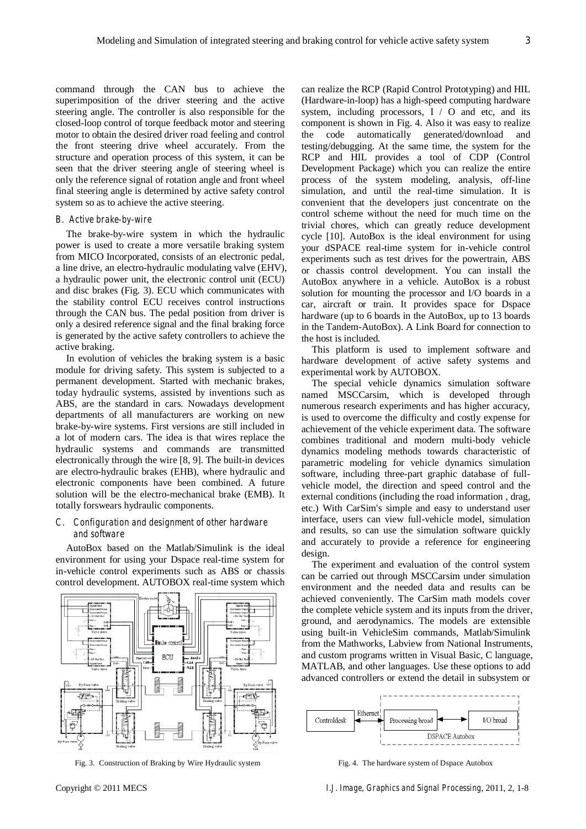command through the CAN bus to achieve the superimposition of the driver steering and the active steering angle. The controller is also responsible for the closed-loop control of torque feedback motor and steering motor to obtain the desired driver road feeling and control the front steering drive wheel accurately. From the structure and operation process of this system, it can be seen that the driver steering angle of steering wheel is only the reference signal of rotation angle and front wheel final steering angle is determined by active safety control system so as to achieve the active steering.

## *B. Active brake-by-wire*

The brake-by-wire system in which the hydraulic power is used to create a more versatile braking system from MICO Incorporated, consists of an electronic pedal, a line drive, an electro-hydraulic modulating valve (EHV), a hydraulic power unit, the electronic control unit (ECU) and disc brakes (Fig. 3). ECU which communicates with the stability control ECU receives control instructions through the CAN bus. The pedal position from driver is only a desired reference signal and the final braking force is generated by the active safety controllers to achieve the active braking.

In evolution of vehicles the braking system is a basic module for driving safety. This system is subjected to a permanent development. Started with mechanic brakes, today hydraulic systems, assisted by inventions such as ABS, are the standard in cars. Nowadays development departments of all manufacturers are working on new brake-by-wire systems. First versions are still included in a lot of modern cars. The idea is that wires replace the hydraulic systems and commands are transmitted electronically through the wire [8, 9]. The built-in devices are electro-hydraulic brakes (EHB), where hydraulic and electronic components have been combined. A future solution will be the electro-mechanical brake (EMB). It totally forswears hydraulic components.

## *C. Configuration and designment of other hardware and software*

AutoBox based on the Matlab/Simulink is the ideal environment for using your Dspace real-time system for in-vehicle control experiments such as ABS or chassis control development. AUTOBOX real-time system which



Fig. 3. Construction of Braking by Wire Hydraulic system Fig. 4. The hardware system of Dspace Autobox

can realize the RCP (Rapid Control Prototyping) and HIL (Hardware-in-loop) has a high-speed computing hardware system, including processors, I / O and etc, and its component is shown in Fig. 4. Also it was easy to realize the code automatically generated/download and testing/debugging. At the same time, the system for the RCP and HIL provides a tool of CDP (Control Development Package) which you can realize the entire process of the system modeling, analysis, off-line simulation, and until the real-time simulation. It is convenient that the developers just concentrate on the control scheme without the need for much time on the trivial chores, which can greatly reduce development cycle [10]. AutoBox is the ideal environment for using your dSPACE real-time system for in-vehicle control experiments such as test drives for the powertrain, ABS or chassis control development. You can install the AutoBox anywhere in a vehicle. AutoBox is a robust solution for mounting the processor and I/O boards in a car, aircraft or train. It provides space for Dspace hardware (up to 6 boards in the AutoBox, up to 13 boards in the Tandem-AutoBox). A Link Board for connection to the host is included.

This platform is used to implement software and hardware development of active safety systems and experimental work by AUTOBOX.

The special vehicle dynamics simulation software named MSCCarsim, which is developed through numerous research experiments and has higher accuracy, is used to overcome the difficulty and costly expense for achievement of the vehicle experiment data. The software combines traditional and modern multi-body vehicle dynamics modeling methods towards characteristic of parametric modeling for vehicle dynamics simulation software, including three-part graphic database of fullvehicle model, the direction and speed control and the external conditions (including the road information , drag, etc.) With CarSim's simple and easy to understand user interface, users can view full-vehicle model, simulation and results, so can use the simulation software quickly and accurately to provide a reference for engineering design.

The experiment and evaluation of the control system can be carried out through MSCCarsim under simulation environment and the needed data and results can be achieved conveniently. The CarSim math models cover the complete vehicle system and its inputs from the driver, ground, and aerodynamics. The models are extensible using built-in VehicleSim commands, Matlab/Simulink from the Mathworks, Labview from National Instruments, and custom programs written in Visual Basic, C language, MATLAB, and other languages. Use these options to add advanced controllers or extend the detail in subsystem or

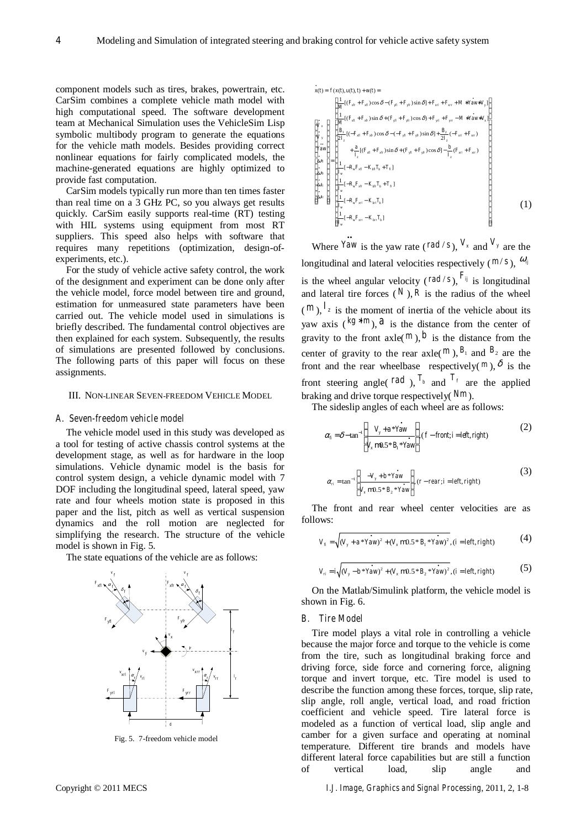component models such as tires, brakes, powertrain, etc. CarSim combines a complete vehicle math model with high computational speed. The software development team at Mechanical Simulation uses the VehicleSim Lisp symbolic multibody program to generate the equations for the vehicle math models. Besides providing correct nonlinear equations for fairly complicated models, the machine-generated equations are highly optimized to provide fast computation.

CarSim models typically run more than ten times faster than real time on a 3 GHz PC, so you always get results quickly. CarSim easily supports real-time (RT) testing with HIL systems using equipment from most RT suppliers. This speed also helps with software that requires many repetitions (optimization, design-ofexperiments, etc.).

For the study of vehicle active safety control, the work of the designment and experiment can be done only after the vehicle model, force model between tire and ground, estimation for unmeasured state parameters have been carried out. The vehicle model used in simulations is briefly described. The fundamental control objectives are then explained for each system. Subsequently, the results of simulations are presented followed by conclusions. The following parts of this paper will focus on these assignments.

#### III. NON-LINEAR SEVEN-FREEDOM VEHICLE MODEL

#### *A. Seven-freedom vehicle model*

The vehicle model used in this study was developed as a tool for testing of active chassis control systems at the development stage, as well as for hardware in the loop simulations. Vehicle dynamic model is the basis for control system design, a vehicle dynamic model with 7 DOF including the longitudinal speed, lateral speed, yaw rate and four wheels motion state is proposed in this paper and the list, pitch as well as vertical suspension dynamics and the roll motion are neglected for simplifying the research. The structure of the vehicle model is shown in Fig. 5.

The state equations of the vehicle are as follows:



Fig. 5. 7-freedom vehicle model

$$
x(t) = f(x(t), u(t), t) + w(t) =
$$
\n
$$
\begin{bmatrix}\n\frac{1}{M}[(F_{sp} + F_{sf}) \cos \delta - (F_{sf} + F_{sp}) \sin \delta] + F_{sd} + F_{sr} + M * Y_{\alpha W^*} V_y] \\
\frac{1}{M}[(F_{sp} + F_{sp}) \sin \delta + (F_{sf} + F_{sp}) \cos \delta) + F_{sd} + F_{sr} - M * Y_{\alpha W^*} V_z] \\
\frac{1}{V_y} \\
\frac{B_1}{2I_z}[(-F_{sd} + F_{sp}) \cos \delta - (-F_{gt} + F_{sp}) \sin \delta] + \frac{B_2}{2I_z}(-F_{sd} + F_{sr}) \\
Y_{\alpha W} \\
\frac{1}{\omega_{\beta}} \\
\frac{1}{\omega_{\beta}} \\
\frac{1}{\omega_{\gamma}}\left[-R_u F_{sf} + K_{sp} \sin \delta + (F_{gt} + F_{sp}) \cos \delta\right] - \frac{b}{I_z}(F_{sd} + F_{sr}) \\
\frac{b}{I_w}\left[-R_u F_{sg} - K_{bg} T_b + T_b\right] \\
\frac{1}{I_w}[-R_u F_{sg} - K_{bg} T_b + T_b] \\
\frac{1}{I_w}[-R_u F_{sg} - K_{bs} T_b] \\
\frac{1}{I_w}[-R_u F_{sr} - K_{bs} T_b]\n\end{bmatrix}
$$
\n(1)

Where  $\lim_{x \to a}$  is the yaw rate (*rad* / *s*),  $V_x$  and  $V_y$  are the longitudinal and lateral velocities respectively ( $m/s$ ),  $\omega_{ij}$ is the wheel angular velocity ( $rad/s$ ),  $F_{ij}$  is longitudinal and lateral tire forces  $(N)$ ,  $R$  is the radius of the wheel  $(m)$ ,  $I_z$  is the moment of inertia of the vehicle about its yaw axis  $({}^{kg *m})$ , *a* is the distance from the center of gravity to the front axle( $^m$ ),  $^b$  is the distance from the center of gravity to the rear axle( $^m$ ),  $^{B_1}$  and  $^{B_2}$  are the front and the rear wheelbase respectively( $^m$ ),  $^{\delta}$  is the front steering angle( $rad$ ),  $T_b$  and  $T_f$  are the applied braking and drive torque respectively( *Nm* ).

The sideslip angles of each wheel are as follows:

$$
\alpha_{f_i} = \delta - \tan^{-1} \left( \frac{V_y + a^* Y \dot{a} w}{V_x \text{ m0.5*} B_i * Y \dot{a} w} \right), (f - f r \text{ m1}; i = left, right) \tag{2}
$$

$$
\alpha_{ri} = \tan^{-1} \left[ \frac{-V_y + b * Y_{\alpha w}}{V_x \text{ m0.5} * B_z * Y_{\alpha w}} \right], (r - rear; i = left, right)
$$
\n(3)

The front and rear wheel center velocities are as follows:

$$
V_{\scriptscriptstyle f} = \sqrt{(V_{\scriptscriptstyle y} + a * Y_{\scriptscriptstyle A} x)^2 + (V_{\scriptscriptstyle x} \, \text{m0.5} * B_{\scriptscriptstyle 1} * Y_{\scriptscriptstyle A} x)^2}, (i = left, right) \tag{4}
$$

$$
V_{ri} = i\sqrt{(V_y - b * Ya w)^2 + (V_x \text{ m0.5} * B_2 * Ya w)^2}, (i = left, right)
$$
 (5)

On the Matlab/Simulink platform, the vehicle model is shown in Fig. 6.

#### *B. Tire Model*

Tire model plays a vital role in controlling a vehicle because the major force and torque to the vehicle is come from the tire, such as longitudinal braking force and driving force, side force and cornering force, aligning torque and invert torque, etc. Tire model is used to describe the function among these forces, torque, slip rate, slip angle, roll angle, vertical load, and road friction coefficient and vehicle speed. Tire lateral force is modeled as a function of vertical load, slip angle and camber for a given surface and operating at nominal temperature. Different tire brands and models have different lateral force capabilities but are still a function<br>of vertical load, slip angle and of vertical load, slip angle and

Copyright © 2011 MECS *I.J. Image, Graphics and Signal Processing*, 2011, 2, 1-8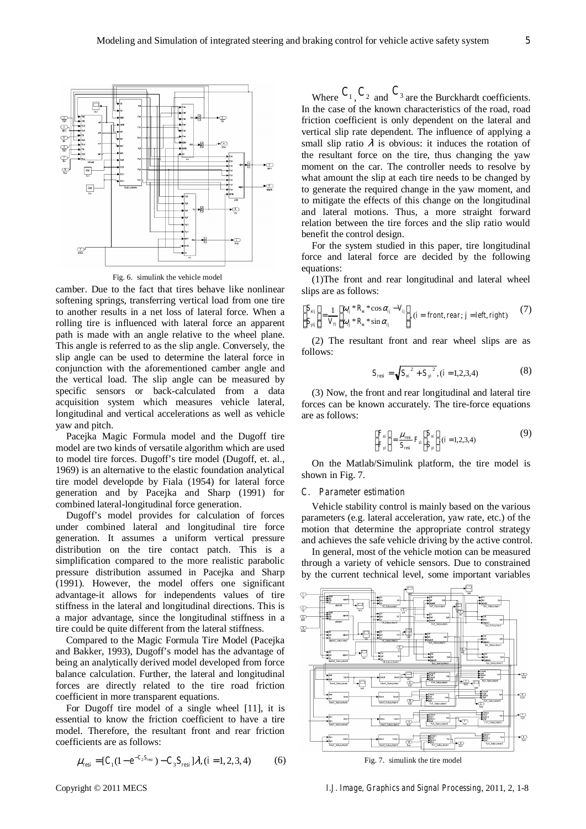

Fig. 6. simulink the vehicle model

camber. Due to the fact that tires behave like nonlinear softening springs, transferring vertical load from one tire to another results in a net loss of lateral force. When a rolling tire is influenced with lateral force an apparent path is made with an angle relative to the wheel plane. This angle is referred to as the slip angle. Conversely, the slip angle can be used to determine the lateral force in conjunction with the aforementioned camber angle and the vertical load. The slip angle can be measured by specific sensors or back-calculated from a data acquisition system which measures vehicle lateral, longitudinal and vertical accelerations as well as vehicle yaw and pitch.

Pacejka Magic Formula model and the Dugoff tire model are two kinds of versatile algorithm which are used to model tire forces. Dugoff's tire model (Dugoff, et. al., 1969) is an alternative to the elastic foundation analytical tire model developde by Fiala (1954) for lateral force generation and by Pacejka and Sharp (1991) for combined lateral-longitudinal force generation.

Dugoff's model provides for calculation of forces under combined lateral and longitudinal tire force generation. It assumes a uniform vertical pressure distribution on the tire contact patch. This is a simplification compared to the more realistic parabolic pressure distribution assumed in Pacejka and Sharp (1991). However, the model offers one significant advantage-it allows for independents values of tire stiffness in the lateral and longitudinal directions. This is a major advantage, since the longitudinal stiffness in a tire could be quite different from the lateral stiffness.

Compared to the Magic Formula Tire Model (Pacejka and Bakker, 1993), Dugoff's model has the advantage of being an analytically derived model developed from force balance calculation. Further, the lateral and longitudinal forces are directly related to the tire road friction coefficient in more transparent equations.

For Dugoff tire model of a single wheel [11], it is essential to know the friction coefficient to have a tire model. Therefore, the resultant front and rear friction coefficients are as follows:

$$
\mu_{resi} = [C_1(1 - e^{-C_2 S_{resi}}) - C_3 S_{resi}] \lambda, (i = 1, 2, 3, 4)
$$
(6)

Where  $C_1$ ,  $C_2$  and  $C_3$  are the Burckhardt coefficients. In the case of the known characteristics of the road, road friction coefficient is only dependent on the lateral and vertical slip rate dependent. The influence of applying a small slip ratio  $\lambda$  is obvious: it induces the rotation of the resultant force on the tire, thus changing the yaw moment on the car. The controller needs to resolve by what amount the slip at each tire needs to be changed by to generate the required change in the yaw moment, and to mitigate the effects of this change on the longitudinal and lateral motions. Thus, a more straight forward relation between the tire forces and the slip ratio would benefit the control design.

For the system studied in this paper, tire longitudinal force and lateral force are decided by the following equations:

(1)The front and rear longitudinal and lateral wheel slips are as follows:

$$
\begin{bmatrix} S_{xij} \\ S_{yij} \end{bmatrix} = \frac{1}{V_{\scriptscriptstyle H}} \begin{bmatrix} \omega_{ij} * R_w * \cos \alpha_{ij} - V_{ij} \\ \omega_{ij} * R_w * \sin \alpha_{ij} \end{bmatrix}, (i = front, rear; j = left, right)
$$
 (7)

(2) The resultant front and rear wheel slips are as follows:

$$
S_{resi} = \sqrt{S_{xi}^2 + S_{yi}^2}, (i = 1, 2, 3, 4)
$$
 (8)

(3) Now, the front and rear longitudinal and lateral tire forces can be known accurately. The tire-force equations are as follows:

$$
\begin{bmatrix} F_{xi} \\ F_{yi} \end{bmatrix} = \frac{\mu_{res}}{S_{res}} F_{zi} \begin{bmatrix} S_{xi} \\ S_{yi} \end{bmatrix}, (i = 1, 2, 3, 4)
$$
 (9)

On the Matlab/Simulink platform, the tire model is shown in Fig. 7.

## *C. Parameter estimation*

Vehicle stability control is mainly based on the various parameters (e.g. lateral acceleration, yaw rate, etc.) of the motion that determine the appropriate control strategy and achieves the safe vehicle driving by the active control.

In general, most of the vehicle motion can be measured through a variety of vehicle sensors. Due to constrained by the current technical level, some important variables



Fig. 7. simulink the tire model

Copyright © 2011 MECS *I.J. Image, Graphics and Signal Processing*, 2011, 2, 1-8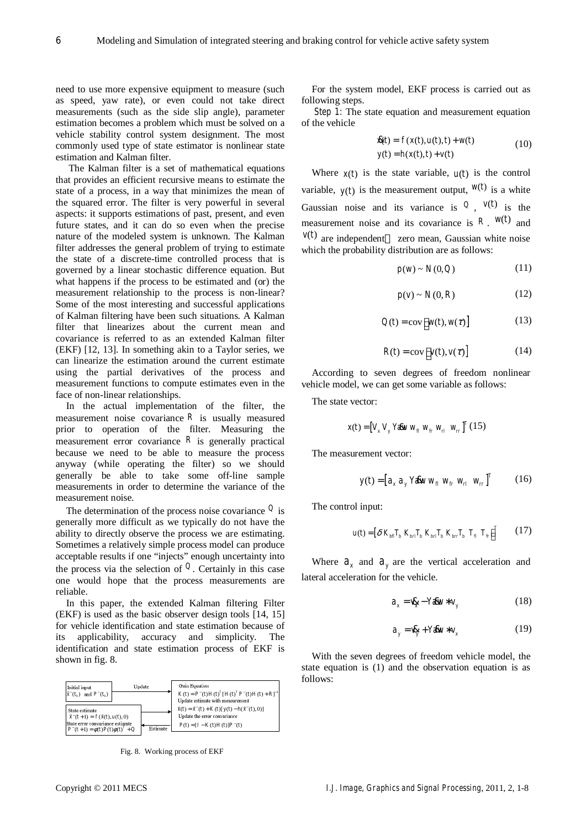need to use more expensive equipment to measure (such as speed, yaw rate), or even could not take direct measurements (such as the side slip angle), parameter estimation becomes a problem which must be solved on a vehicle stability control system designment. The most commonly used type of state estimator is nonlinear state estimation and Kalman filter.

 The Kalman filter is a set of mathematical equations that provides an efficient recursive means to estimate the state of a process, in a way that minimizes the mean of the squared error. The filter is very powerful in several aspects: it supports estimations of past, present, and even future states, and it can do so even when the precise nature of the modeled system is unknown. The Kalman filter addresses the general problem of trying to estimate the state of a discrete-time controlled process that is governed by a linear stochastic difference equation. But what happens if the process to be estimated and (or) the measurement relationship to the process is non-linear? Some of the most interesting and successful applications of Kalman filtering have been such situations. A Kalman filter that linearizes about the current mean and covariance is referred to as an extended Kalman filter (EKF) [12, 13]. In something akin to a Taylor series, we can linearize the estimation around the current estimate using the partial derivatives of the process and measurement functions to compute estimates even in the face of non-linear relationships.

In the actual implementation of the filter, the measurement noise covariance  $R$  is usually measured prior to operation of the filter. Measuring the measurement error covariance  $R$  is generally practical because we need to be able to measure the process anyway (while operating the filter) so we should generally be able to take some off-line sample measurements in order to determine the variance of the measurement noise.

The determination of the process noise covariance *Q* is generally more difficult as we typically do not have the ability to directly observe the process we are estimating. Sometimes a relatively simple process model can produce acceptable results if one "injects" enough uncertainty into the process via the selection of  $\mathcal{Q}$ . Certainly in this case one would hope that the process measurements are reliable.

In this paper, the extended Kalman filtering Filter (EKF) is used as the basic observer design tools [14, 15] for vehicle identification and state estimation because of its applicability, accuracy and simplicity. The identification and state estimation process of EKF is shown in fig. 8.



Fig. 8. Working process of EKF

For the system model, EKF process is carried out as following steps.

*Step 1:* The state equation and measurement equation of the vehicle

$$
\mathbf{R}(t) = f(x(t), u(t), t) + w(t)
$$
  
\n
$$
y(t) = h(x(t), t) + v(t)
$$
\n(10)

Where  $x(t)$  is the state variable,  $u(t)$  is the control variable,  $y(t)$  is the measurement output,  $w(t)$  is a white Gaussian noise and its variance is  $Q$ ,  $v(t)$  is the measurement noise and its covariance is  $R$ .  $w(t)$  and  $v(t)$  are independent zero mean, Gaussian white noise which the probability distribution are as follows:

$$
p(w) \sim N(0, Q) \tag{11}
$$

$$
p(v) \sim N(0, R) \tag{12}
$$

$$
Q(t) = \text{cov}\big[ w(t), w(\tau) \big] \tag{13}
$$

$$
R(t) = \text{cov}\big[\nu(t), \nu(\tau)\big] \tag{14}
$$

According to seven degrees of freedom nonlinear vehicle model, we can get some variable as follows:

The state vector:

$$
x(t) = [V_x \, V_y \, Y \& w \, w_{\beta} \, w_{\beta} \, w_{n}]^T \, (15)
$$

The measurement vector:

$$
y(t) = \begin{bmatrix} a_x a_y Y \& w_y w_{f'} w_{r'} w_{r'} \end{bmatrix}^T
$$
 (16)

The control input:

$$
u(t) = \left[\delta \, K_{\text{bfl}} T_{\text{b}} \, K_{\text{brl}} T_{\text{b}} \, K_{\text{brl}} T_{\text{b}} \, K_{\text{brr}} T_{\text{b}} \, T_{\text{f}} \, T_{\text{f}} \right]^T \qquad (17)
$$

Where  $a_x$  and  $a_y$  are the vertical acceleration and lateral acceleration for the vehicle.

$$
a_x = \mathbf{R}_x - Y \mathbf{A} w * v_y \tag{18}
$$

$$
a_y = \mathbf{R}_y + Y \mathbf{A} w * v_x \tag{19}
$$

With the seven degrees of freedom vehicle model, the state equation is (1) and the observation equation is as follows: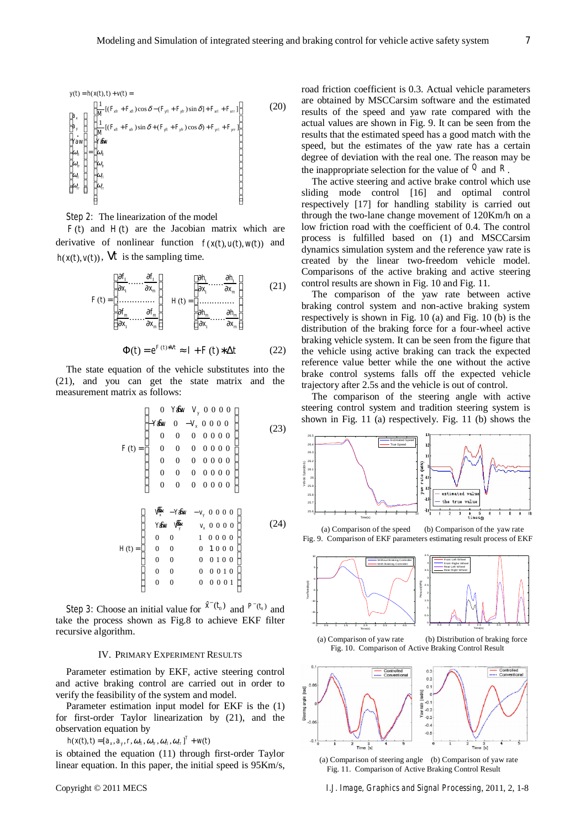$$
y(t) = h(x(t), t) + v(t) =
$$
\n
$$
\begin{bmatrix}\na_x \\
a_y \\
a_y \\
\frac{1}{M}[(F_{xft} + F_{xft})\cos\delta - (F_{yft} + F_{yft})\sin\delta] + F_{xrt} + F_{xrt}\n\end{bmatrix}
$$
\n(20)\n
$$
x_{\text{av}} = \begin{bmatrix}\na_x \\
\frac{1}{M}[(F_{xft} + F_{xft})\sin\delta + (F_{yft} + F_{yft})\cos\delta) + F_{yrt} + F_{yrt}\n\end{bmatrix}
$$
\n
$$
u_{\text{av}} = \begin{bmatrix}\na_y \\
\frac{\partial \phi}{\partial t} \\
\frac{\partial \phi}{\partial t} \\
\frac{\partial \phi}{\partial t} \\
\frac{\partial \phi}{\partial t} \\
\frac{\partial \phi}{\partial t} \\
\frac{\partial \phi}{\partial t} \\
\frac{\partial \phi}{\partial t}\n\end{bmatrix}
$$

*Step 2:* The linearization of the model

 $F(t)$  and  $H(t)$  are the Jacobian matrix which are derivative of nonlinear function  $f(x(t), u(t), w(t))$  and  $h(x(t), y(t))$ ,  $V_t$  is the sampling time.

$$
F(t) = \begin{bmatrix} \frac{\partial f_1}{\partial x_1} \cdots \frac{\partial f_1}{\partial x_m} \\ \vdots \\ \frac{\partial f_m}{\partial x_1} \cdots \frac{\partial f_m}{\partial x_m} \end{bmatrix} \quad H(t) = \begin{bmatrix} \frac{\partial h_1}{\partial x_1} \cdots \frac{\partial h_1}{\partial x_m} \\ \vdots \\ \frac{\partial h_m}{\partial x_1} \cdots \frac{\partial h_m}{\partial x_m} \end{bmatrix} \quad (21)
$$

$$
\Phi(t) = e^{F(t)*Vt} \approx I + F(t)*\Delta t \tag{22}
$$

The state equation of the vehicle substitutes into the (21), and you can get the state matrix and the measurement matrix as follows:

$$
F(t) = \begin{bmatrix} 0 & Y \& v & V_y & 0 & 0 & 0 & 0 \\ -Y \& v & 0 & -V_x & 0 & 0 & 0 & 0 \\ 0 & 0 & 0 & 0 & 0 & 0 & 0 & 0 \\ 0 & 0 & 0 & 0 & 0 & 0 & 0 & 0 \\ 0 & 0 & 0 & 0 & 0 & 0 & 0 & 0 \\ 0 & 0 & 0 & 0 & 0 & 0 & 0 & 0 \\ 0 & 0 & 0 & 0 & 0 & 0 & 0 & 0 \end{bmatrix} \tag{23}
$$
\n
$$
H(t) = \begin{bmatrix} \frac{\mathbf{R}}{\mathbf{R}} & -Y \& v & v & 0 & 0 & 0 \\ Y \& v & \frac{\mathbf{R}}{\mathbf{R}} & v_x & 0 & 0 & 0 \\ 0 & 0 & 1 & 0 & 0 & 0 \\ 0 & 0 & 0 & 1 & 0 & 0 & 0 \\ 0 & 0 & 0 & 0 & 0 & 0 & 1 \\ 0 & 0 & 0 & 0 & 0 & 0 & 1 \end{bmatrix} \tag{24}
$$

*Step 3:* Choose an initial value for  $\hat{x}^-(t_0)$  and  $P^-(t_0)$  and take the process shown as Fig.8 to achieve EKF filter recursive algorithm.

## IV. PRIMARY EXPERIMENT RESULTS

Parameter estimation by EKF, active steering control and active braking control are carried out in order to verify the feasibility of the system and model.

Parameter estimation input model for EKF is the (1) for first-order Taylor linearization by (21), and the observation equation by

 $h(x(t),t) = [a_x, a_y, r, \omega_{\beta}, \omega_{\beta}, \omega_{\alpha}, \omega_{\alpha}]^T + w(t)$ <br>is obtained the equation (11) through first-order Taylor linear equation. In this paper, the initial speed is 95Km/s, road friction coefficient is 0.3. Actual vehicle parameters are obtained by MSCCarsim software and the estimated results of the speed and yaw rate compared with the actual values are shown in Fig. 9. It can be seen from the results that the estimated speed has a good match with the speed, but the estimates of the yaw rate has a certain degree of deviation with the real one. The reason may be the inappropriate selection for the value of  $\mathcal{Q}$  and  $\mathcal{R}$ .

The active steering and active brake control which use sliding mode control [16] and optimal control respectively [17] for handling stability is carried out through the two-lane change movement of 120Km/h on a low friction road with the coefficient of 0.4. The control process is fulfilled based on (1) and MSCCarsim dynamics simulation system and the reference yaw rate is created by the linear two-freedom vehicle model. Comparisons of the active braking and active steering control results are shown in Fig. 10 and Fig. 11.

The comparison of the yaw rate between active braking control system and non-active braking system respectively is shown in Fig. 10 (a) and Fig. 10 (b) is the distribution of the braking force for a four-wheel active braking vehicle system. It can be seen from the figure that the vehicle using active braking can track the expected reference value better while the one without the active brake control systems falls off the expected vehicle trajectory after 2.5s and the vehicle is out of control.

The comparison of the steering angle with active steering control system and tradition steering system is shown in Fig. 11 (a) respectively. Fig. 11 (b) shows the



 (a) Comparison of the speed (b) Comparison of the yaw rate Fig. 9. Comparison of EKF parameters estimating result process of EKF







 (a) Comparison of steering angle (b) Comparison of yaw rate Fig. 11. Comparison of Active Braking Control Result